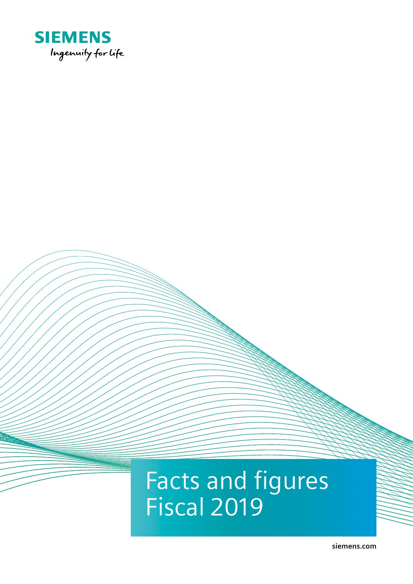

# Facts and figures Fiscal 2019

**[siemens.com](http://www.siemens.com)**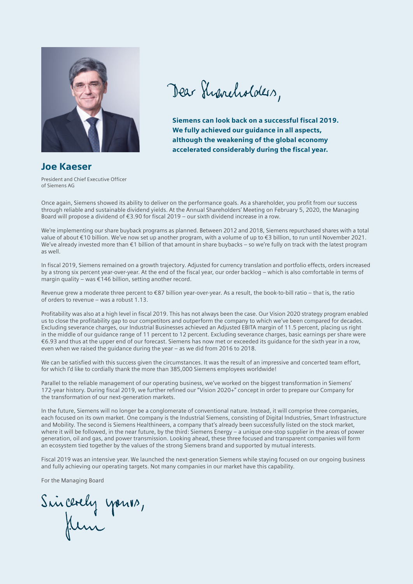

Dear Shancholders,

Siemens can look back on a successful fiscal 2019. We fully achieved our guidance in all aspects, although the weakening of the global economy accelerated considerably during the fiscal year.

Joe Kaeser President and Chief Executive Officer

of Siemens AG

Once again, Siemens showed its ability to deliver on the performance goals. As a shareholder, you profit from our success through reliable and sustainable dividend yields. At the Annual Shareholders' Meeting on February 5, 2020, the Managing Board will propose a dividend of €3.90 for fiscal 2019 – our sixth dividend increase in a row.

We're implementing our share buyback programs as planned. Between 2012 and 2018, Siemens repurchased shares with a total value of about €10 billion. We've now set up another program, with a volume of up to €3 billion, to run until November 2021. We've already invested more than €1 billion of that amount in share buybacks – so we're fully on track with the latest program as well.

In fiscal 2019, Siemens remained on a growth trajectory. Adjusted for currency translation and portfolio effects, orders increased by a strong six percent year-over-year. At the end of the fiscal year, our order backlog – which is also comfortable in terms of margin quality – was €146 billion, setting another record.

Revenue grew a moderate three percent to €87 billion year-over-year. As a result, the book-to-bill ratio – that is, the ratio of orders to revenue – was a robust 1.13.

Profitability was also at a high level in fiscal 2019. This has not always been the case. Our Vision 2020 strategy program enabled us to close the profitability gap to our competitors and outperform the company to which we've been compared for decades. Excluding severance charges, our Industrial Businesses achieved an Adjusted EBITA margin of 11.5 percent, placing us right in the middle of our guidance range of 11 percent to 12 percent. Excluding severance charges, basic earnings per share were €6.93 and thus at the upper end of our forecast. Siemens has now met or exceeded its guidance for the sixth year in a row, even when we raised the guidance during the year – as we did from 2016 to 2018.

We can be satisfied with this success given the circumstances. It was the result of an impressive and concerted team effort, for which I'd like to cordially thank the more than 385,000 Siemens employees worldwide!

Parallel to the reliable management of our operating business, we've worked on the biggest transformation in Siemens' 172-year history. During fiscal 2019, we further refined our "Vision 2020+" concept in order to prepare our Company for the transformation of our next-generation markets.

In the future, Siemens will no longer be a conglomerate of conventional nature. Instead, it will comprise three companies, each focused on its own market. One company is the Industrial Siemens, consisting of Digital Industries, Smart Infrastructure and Mobility. The second is Siemens Healthineers, a company that's already been successfully listed on the stock market, where it will be followed, in the near future, by the third: Siemens Energy – a unique one-stop supplier in the areas of power generation, oil and gas, and power transmission. Looking ahead, these three focused and transparent companies will form an ecosystem tied together by the values of the strong Siemens brand and supported by mutual interests.

Fiscal 2019 was an intensive year. We launched the next-generation Siemens while staying focused on our ongoing business and fully achieving our operating targets. Not many companies in our market have this capability.

For the Managing Board

Sincerely yours,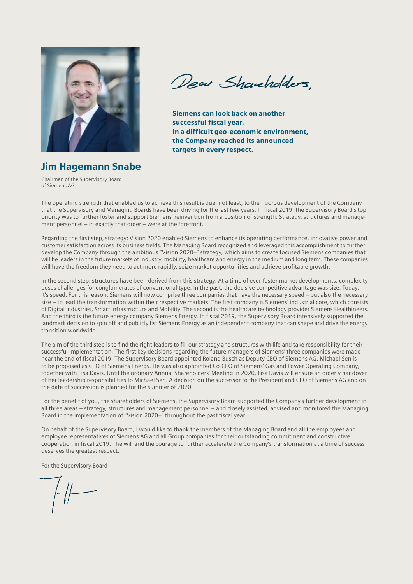

Dear Shaucholders

Siemens can look back on another successful fiscal year. In a difficult geo-economic environment, the Company reached its announced targets in every respect.

Jim Hagemann Snabe Chairman of the Supervisory Board

of Siemens AG

The operating strength that enabled us to achieve this result is due, not least, to the rigorous development of the Company that the Supervisory and Managing Boards have been driving for the last few years. In fiscal 2019, the Supervisory Board's top priority was to further foster and support Siemens' reinvention from a position of strength. Strategy, structures and management personnel – in exactly that order – were at the forefront.

Regarding the first step, strategy: Vision 2020 enabled Siemens to enhance its operating performance, innovative power and customer satisfaction across its business fields. The Managing Board recognized and leveraged this accomplishment to further develop the Company through the ambitious "Vision 2020+" strategy, which aims to create focused Siemens companies that will be leaders in the future markets of industry, mobility, healthcare and energy in the medium and long term. These companies will have the freedom they need to act more rapidly, seize market opportunities and achieve profitable growth.

In the second step, structures have been derived from this strategy. At a time of ever-faster market developments, complexity poses challenges for conglomerates of conventional type. In the past, the decisive competitive advantage was size. Today, it's speed. For this reason, Siemens will now comprise three companies that have the necessary speed – but also the necessary size – to lead the transformation within their respective markets. The first company is Siemens' industrial core, which consists of Digital Industries, Smart Infrastructure and Mobility. The second is the healthcare technology provider Siemens Healthineers. And the third is the future energy company Siemens Energy. In fiscal 2019, the Supervisory Board intensively supported the landmark decision to spin off and publicly list Siemens Energy as an independent company that can shape and drive the energy transition worldwide.

The aim of the third step is to find the right leaders to fill our strategy and structures with life and take responsibility for their successful implementation. The first key decisions regarding the future managers of Siemens' three companies were made near the end of fiscal 2019. The Supervisory Board appointed Roland Busch as Deputy CEO of Siemens AG. Michael Sen is to be proposed as CEO of Siemens Energy. He was also appointed Co-CEO of Siemens' Gas and Power Operating Company, together with Lisa Davis. Until the ordinary Annual Shareholders' Meeting in 2020, Lisa Davis will ensure an orderly handover of her leadership responsibilities to Michael Sen. A decision on the successor to the President and CEO of Siemens AG and on the date of succession is planned for the summer of 2020.

For the benefit of you, the shareholders of Siemens, the Supervisory Board supported the Company's further development in all three areas – strategy, structures and management personnel – and closely assisted, advised and monitored the Managing Board in the implementation of "Vision 2020+" throughout the past fiscal year.

On behalf of the Supervisory Board, I would like to thank the members of the Managing Board and all the employees and employee representatives of Siemens AG and all Group companies for their outstanding commitment and constructive cooperation in fiscal 2019. The will and the courage to further accelerate the Company's transformation at a time of success deserves the greatest respect.

For the Supervisory Board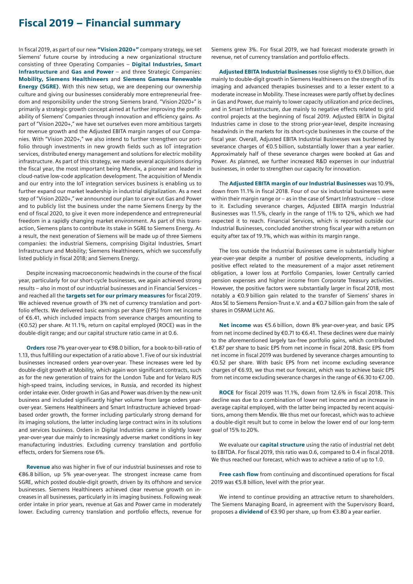# Fiscal 2019 – Financial summary

In fiscal 2019, as part of our new "Vision 2020+" company strategy, we set Siemens' future course by introducing a new organizational structure consisting of three Operating Companies – Digital Industries, Smart Infrastructure and Gas and Power – and three Strategic Companies: Mobility, Siemens Healthineers and Siemens Gamesa Renewable Energy (SGRE). With this new setup, we are deepening our ownership culture and giving our businesses considerably more entrepreneurial freedom and responsibility under the strong Siemens brand. "Vision 2020+" is primarily a strategic growth concept aimed at further improving the profitability of Siemens' Companies through innovation and efficiency gains. As part of "Vision 2020+," we have set ourselves even more ambitious targets for revenue growth and the Adjusted EBITA margin ranges of our Companies. With "Vision 2020+," we also intend to further strengthen our portfolio through investments in new growth fields such as IoT integration services, distributed energy management and solutions for electric mobility infrastructure. As part of this strategy, we made several acquisitions during the fiscal year, the most important being Mendix, a pioneer and leader in cloud-native low-code application development. The acquisition of Mendix and our entry into the IoT integration services business is enabling us to further expand our market leadership in industrial digitalization. As a next step of "Vision 2020+," we announced our plan to carve out Gas and Power and to publicly list the business under the name Siemens Energy by the end of fiscal 2020, to give it even more independence and entrepreneurial freedom in a rapidly changing market environment. As part of this transaction, Siemens plans to contribute its stake in SGRE to Siemens Energy. As a result, the next generation of Siemens will be made up of three Siemens companies: the industrial Siemens, comprising Digital Industries, Smart Infrastructure and Mobility; Siemens Healthineers, which we successfully listed publicly in fiscal 2018; and Siemens Energy.

Despite increasing macroeconomic headwinds in the course of the fiscal year, particularly for our short-cycle businesses, we again achieved strong results – also in most of our industrial businesses and in Financial Services – and reached all the targets set for our primary measures for fiscal 2019. We achieved revenue growth of 3% net of currency translation and portfolio effects. We delivered basic earnings per share (EPS) from net income of €6.41, which included impacts from severance charges amounting to (€0.52) per share. At 11.1%, return on capital employed (ROCE) was in the double-digit range; and our capital structure ratio came in at 0.6.

Orders rose 7% year-over-year to €98.0 billion, for a book-to-bill-ratio of 1.13, thus fulfilling our expectation of a ratio above 1. Five of our six industrial businesses increased orders year-over-year. These increases were led by double-digit growth at Mobility, which again won significant contracts, such as for the new generation of trains for the London Tube and for Velaro RUS high-speed trains, including services, in Russia, and recorded its highest order intake ever. Order growth in Gas and Power was driven by the new-unit business and included significantly higher volume from large orders yearover-year. Siemens Healthineers and Smart Infrastructure achieved broadbased order growth, the former including particularly strong demand for its imaging solutions, the latter including large contract wins in its solutions and services business. Orders in Digital Industries came in slightly lower year-over-year due mainly to increasingly adverse market conditions in key manufacturing industries. Excluding currency translation and portfolio effects, orders for Siemens rose 6%.

Revenue also was higher in five of our industrial businesses and rose to €86.8 billion, up 5% year-over-year. The strongest increase came from SGRE, which posted double-digit growth, driven by its offshore and service businesses. Siemens Healthineers achieved clear revenue growth on increases in all businesses, particularly in its imaging business. Following weak order intake in prior years, revenue at Gas and Power came in moderately lower. Excluding currency translation and portfolio effects, revenue for

Siemens grew 3%. For fiscal 2019, we had forecast moderate growth in revenue, net of currency translation and portfolio effects.

Adjusted EBITA Industrial Businesses rose slightly to €9.0 billion, due mainly to double-digit growth in Siemens Healthineers on the strength of its imaging and advanced therapies businesses and to a lesser extent to a moderate increase in Mobility. These increases were partly offset by declines in Gas and Power, due mainly to lower capacity utilization and price declines, and in Smart Infrastructure, due mainly to negative effects related to grid control projects at the beginning of fiscal 2019. Adjusted EBITA in Digital Industries came in close to the strong prior-year-level, despite increasing headwinds in the markets for its short-cycle businesses in the course of the fiscal year. Overall, Adjusted EBITA Industrial Businesses was burdened by severance charges of €0.5 billion, substantially lower than a year earlier. Approximately half of these severance charges were booked at Gas and Power. As planned, we further increased R&D expenses in our industrial businesses, in order to strengthen our capacity for innovation.

The Adjusted EBITA margin of our Industrial Businesses was 10.9%, down from 11.1% in fiscal 2018. Four of our six industrial businesses were within their margin range or – as in the case of Smart Infrastructure – close to it. Excluding severance charges, Adjusted EBITA margin Industrial Businesses was 11.5%, clearly in the range of 11% to 12%, which we had expected it to reach. Financial Services, which is reported outside our Industrial Businesses, concluded another strong fiscal year with a return on equity after tax of 19.1%, which was within its margin range.

The loss outside the Industrial Businesses came in substantially higher year-over-year despite a number of positive developments, including a positive effect related to the measurement of a major asset retirement obligation, a lower loss at Portfolio Companies, lower Centrally carried pension expenses and higher income from Corporate Treasury activities. However, the positive factors were substantially larger in fiscal 2018, most notably a €0.9 billion gain related to the transfer of Siemens' shares in Atos SE to Siemens Pension-Trust e.V. and a €0.7 billion gain from the sale of shares in OSRAM Licht AG.

Net income was €5.6 billion, down 8% year-over-year, and basic EPS from net income declined by €0.71 to €6.41. These declines were due mainly to the aforementioned largely tax-free portfolio gains, which contributed €1.87 per share to basic EPS from net income in fiscal 2018. Basic EPS from net income in fiscal 2019 was burdened by severance charges amounting to €0.52 per share. With basic EPS from net income excluding severance charges of €6.93, we thus met our forecast, which was to achieve basic EPS from net income excluding severance charges in the range of €6.30 to €7.00.

ROCE for fiscal 2019 was 11.1%, down from 12.6% in fiscal 2018. This decline was due to a combination of lower net income and an increase in average capital employed, with the latter being impacted by recent acquisitions, among them Mendix. We thus met our forecast, which was to achieve a double-digit result but to come in below the lower end of our long-term goal of 15% to 20%.

We evaluate our **capital structure** using the ratio of industrial net debt to EBITDA. For fiscal 2019, this ratio was 0.6, compared to 0.4 in fiscal 2018. We thus reached our forecast, which was to achieve a ratio of up to 1.0.

Free cash flow from continuing and discontinued operations for fiscal 2019 was €5.8 billion, level with the prior year.

We intend to continue providing an attractive return to shareholders. The Siemens Managing Board, in agreement with the Supervisory Board, proposes a **dividend** of €3.90 per share, up from €3.80 a year earlier.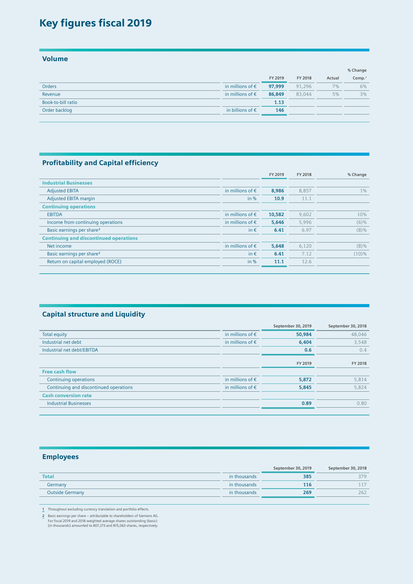# Key figures fiscal 2019

Volume

|                    |                           |         |         |        | % Change           |
|--------------------|---------------------------|---------|---------|--------|--------------------|
|                    |                           | FY 2019 | FY 2018 | Actual | Comp. <sup>1</sup> |
| <b>Orders</b>      | in millions of $\epsilon$ | 97,999  | 91.296  | 7%     | 6%                 |
| Revenue            | in millions of $\epsilon$ | 86,849  | 83.044  | 5%     | 3%                 |
| Book-to-bill ratio |                           | 1.13    |         |        |                    |
| Order backlog      | in billions of $\epsilon$ | 146     |         |        |                    |
|                    |                           |         |         |        |                    |

#### Profitability and Capital efficiency

|                                               |                           | FY 2019 | FY 2018 | % Change |
|-----------------------------------------------|---------------------------|---------|---------|----------|
| <b>Industrial Businesses</b>                  |                           |         |         |          |
| <b>Adjusted EBITA</b>                         | in millions of $\epsilon$ | 8,986   | 8,857   | $1\%$    |
| <b>Adjusted EBITA margin</b>                  | in $%$                    | 10.9    | 11.1    |          |
| <b>Continuing operations</b>                  |                           |         |         |          |
| EBITDA                                        | in millions of $\epsilon$ | 10,582  | 9,602   | 10%      |
| Income from continuing operations             | in millions of $\epsilon$ | 5,646   | 5.996   | (6)%     |
| Basic earnings per share <sup>2</sup>         | in $\epsilon$             | 6.41    | 6.97    | $(8)\%$  |
| <b>Continuing and discontinued operations</b> |                           |         |         |          |
| Net income                                    | in millions of $\epsilon$ | 5,648   | 6.120   | $(8)\%$  |
| Basic earnings per share <sup>2</sup>         | in $\epsilon$             | 6.41    | 7.12    | (10)%    |
| Return on capital employed (ROCE)             | in $%$                    | 11.1    | 12.6    |          |
|                                               |                           |         |         |          |

#### Capital structure and Liquidity

|                                        |                           | September 30, 2019 | September 30, 2018 |
|----------------------------------------|---------------------------|--------------------|--------------------|
| <b>Total equity</b>                    | in millions of $\epsilon$ | 50,984             | 48,046             |
| Industrial net debt                    | in millions of $\epsilon$ | 6,404              | 3,548              |
| Industrial net debt/EBITDA             |                           | 0.6                | 0.4                |
|                                        |                           |                    |                    |
|                                        |                           | FY 2019            | FY 2018            |
| <b>Free cash flow</b>                  |                           |                    |                    |
| Continuing operations                  | in millions of $\epsilon$ | 5,872              | 5,814              |
| Continuing and discontinued operations | in millions of $\epsilon$ | 5,845              | 5,824              |
| <b>Cash conversion rate</b>            |                           |                    |                    |
| <b>Industrial Businesses</b>           |                           | 0.89               | 0.80               |
|                                        |                           |                    |                    |

#### Employees

|                        |              | September 30, 2019 | September 30, 2018 |
|------------------------|--------------|--------------------|--------------------|
| <b>Total</b>           | in thousands | 385                | 379                |
| Germany                | in thousands | 116                | 117                |
| <b>Outside Germany</b> | in thousands | 269                | 262                |
|                        |              |                    |                    |

**1** Throughout excluding currency translation and portfolio effects.

**2** Basic earnings per share – attributable to shareholders of Siemens AG. For fiscal 2019 and 2018 weighted average shares outstanding (basic) (in thousands) amounted to 807,273 and 815,063 shares, respectively.